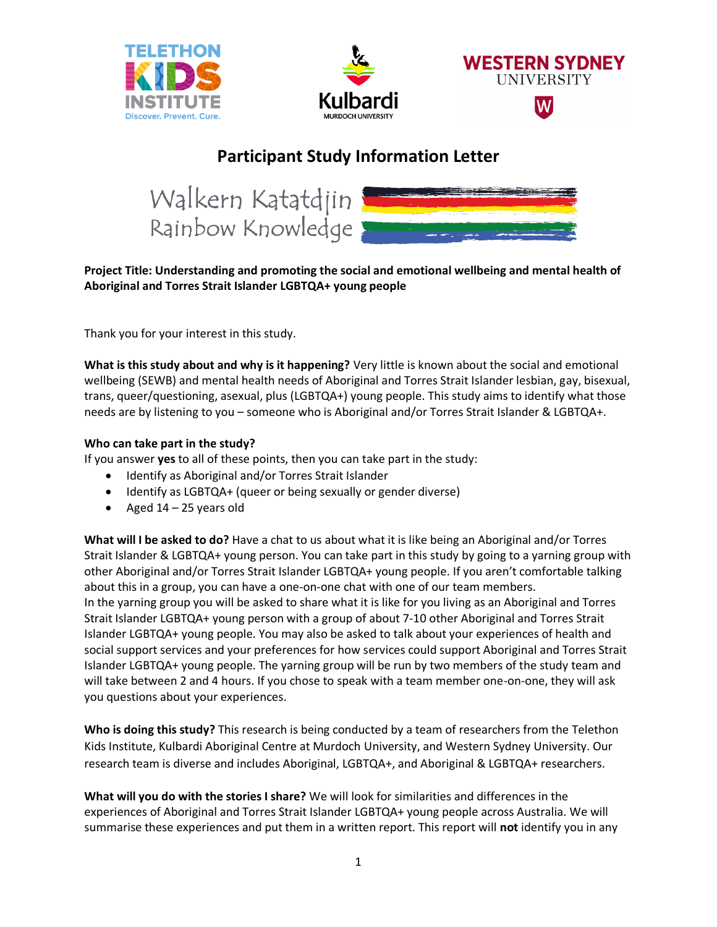





## **Participant Study Information Letter**



## **Project Title: Understanding and promoting the social and emotional wellbeing and mental health of Aboriginal and Torres Strait Islander LGBTQA+ young people**

Thank you for your interest in this study.

**What is this study about and why is it happening?** Very little is known about the social and emotional wellbeing (SEWB) and mental health needs of Aboriginal and Torres Strait Islander lesbian, gay, bisexual, trans, queer/questioning, asexual, plus (LGBTQA+) young people. This study aims to identify what those needs are by listening to you – someone who is Aboriginal and/or Torres Strait Islander & LGBTQA+.

## **Who can take part in the study?**

If you answer **yes** to all of these points, then you can take part in the study:

- Identify as Aboriginal and/or Torres Strait Islander
- Identify as LGBTQA+ (queer or being sexually or gender diverse)
- Aged  $14 25$  years old

**What will I be asked to do?** Have a chat to us about what it is like being an Aboriginal and/or Torres Strait Islander & LGBTQA+ young person. You can take part in this study by going to a yarning group with other Aboriginal and/or Torres Strait Islander LGBTQA+ young people. If you aren't comfortable talking about this in a group, you can have a one-on-one chat with one of our team members. In the yarning group you will be asked to share what it is like for you living as an Aboriginal and Torres Strait Islander LGBTQA+ young person with a group of about 7-10 other Aboriginal and Torres Strait Islander LGBTQA+ young people. You may also be asked to talk about your experiences of health and social support services and your preferences for how services could support Aboriginal and Torres Strait Islander LGBTQA+ young people. The yarning group will be run by two members of the study team and will take between 2 and 4 hours. If you chose to speak with a team member one-on-one, they will ask you questions about your experiences.

**Who is doing this study?** This research is being conducted by a team of researchers from the Telethon Kids Institute, Kulbardi Aboriginal Centre at Murdoch University, and Western Sydney University. Our research team is diverse and includes Aboriginal, LGBTQA+, and Aboriginal & LGBTQA+ researchers.

**What will you do with the stories I share?** We will look for similarities and differences in the experiences of Aboriginal and Torres Strait Islander LGBTQA+ young people across Australia. We will summarise these experiences and put them in a written report. This report will **not** identify you in any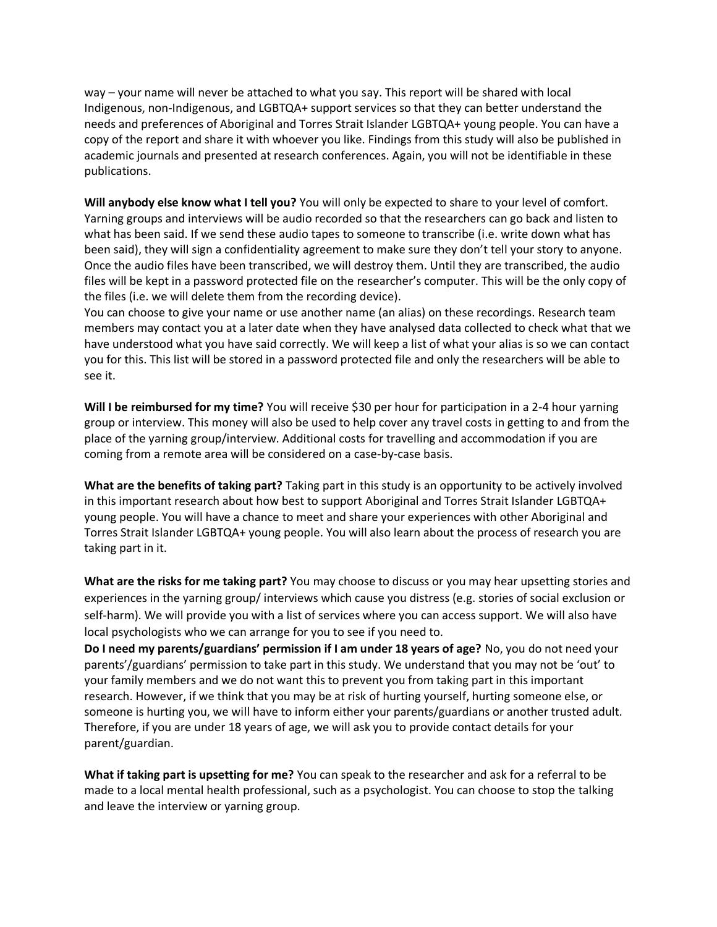way – your name will never be attached to what you say. This report will be shared with local Indigenous, non-Indigenous, and LGBTQA+ support services so that they can better understand the needs and preferences of Aboriginal and Torres Strait Islander LGBTQA+ young people. You can have a copy of the report and share it with whoever you like. Findings from this study will also be published in academic journals and presented at research conferences. Again, you will not be identifiable in these publications.

**Will anybody else know what I tell you?** You will only be expected to share to your level of comfort. Yarning groups and interviews will be audio recorded so that the researchers can go back and listen to what has been said. If we send these audio tapes to someone to transcribe (i.e. write down what has been said), they will sign a confidentiality agreement to make sure they don't tell your story to anyone. Once the audio files have been transcribed, we will destroy them. Until they are transcribed, the audio files will be kept in a password protected file on the researcher's computer. This will be the only copy of the files (i.e. we will delete them from the recording device).

You can choose to give your name or use another name (an alias) on these recordings. Research team members may contact you at a later date when they have analysed data collected to check what that we have understood what you have said correctly. We will keep a list of what your alias is so we can contact you for this. This list will be stored in a password protected file and only the researchers will be able to see it.

**Will I be reimbursed for my time?** You will receive \$30 per hour for participation in a 2-4 hour yarning group or interview. This money will also be used to help cover any travel costs in getting to and from the place of the yarning group/interview. Additional costs for travelling and accommodation if you are coming from a remote area will be considered on a case-by-case basis.

**What are the benefits of taking part?** Taking part in this study is an opportunity to be actively involved in this important research about how best to support Aboriginal and Torres Strait Islander LGBTQA+ young people. You will have a chance to meet and share your experiences with other Aboriginal and Torres Strait Islander LGBTQA+ young people. You will also learn about the process of research you are taking part in it.

**What are the risks for me taking part?** You may choose to discuss or you may hear upsetting stories and experiences in the yarning group/ interviews which cause you distress (e.g. stories of social exclusion or self-harm). We will provide you with a list of services where you can access support. We will also have local psychologists who we can arrange for you to see if you need to.

**Do I need my parents/guardians' permission if I am under 18 years of age?** No, you do not need your parents'/guardians' permission to take part in this study. We understand that you may not be 'out' to your family members and we do not want this to prevent you from taking part in this important research. However, if we think that you may be at risk of hurting yourself, hurting someone else, or someone is hurting you, we will have to inform either your parents/guardians or another trusted adult. Therefore, if you are under 18 years of age, we will ask you to provide contact details for your parent/guardian.

**What if taking part is upsetting for me?** You can speak to the researcher and ask for a referral to be made to a local mental health professional, such as a psychologist. You can choose to stop the talking and leave the interview or yarning group.